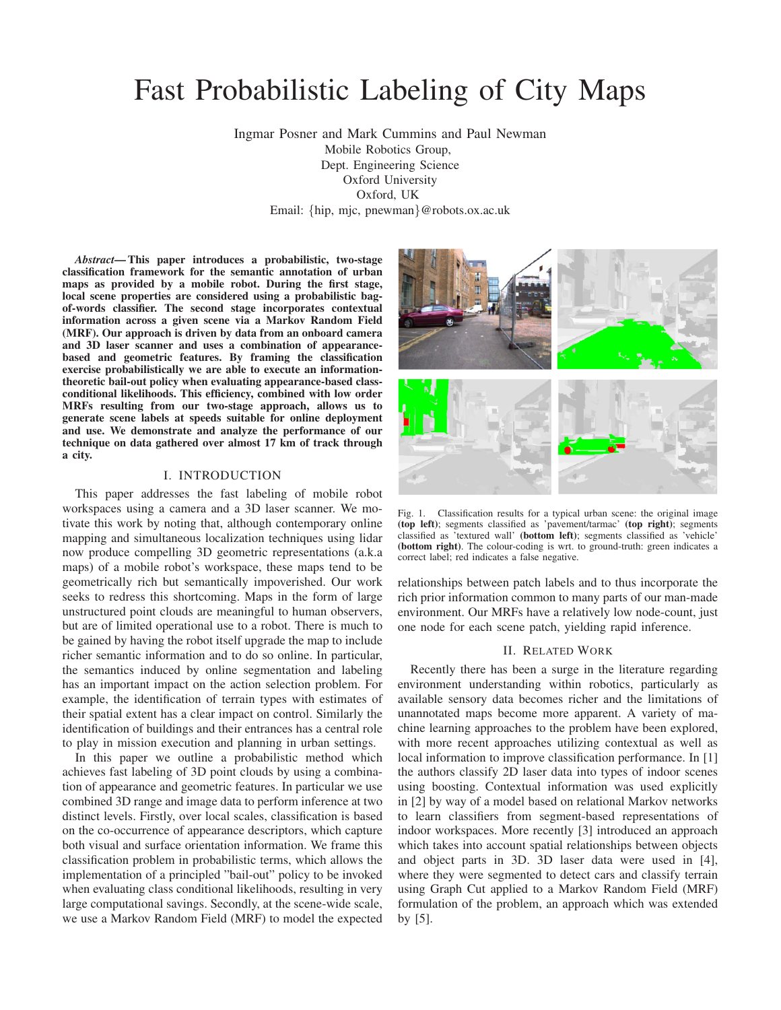# Fast Probabilistic Labeling of City Maps

Ingmar Posner and Mark Cummins and Paul Newman Mobile Robotics Group, Dept. Engineering Science Oxford University Oxford, UK Email: {hip, mjc, pnewman}@robots.ox.ac.uk

*Abstract***— This paper introduces a probabilistic, two-stage classification framework for the semantic annotation of urban maps as provided by a mobile robot. During the first stage, local scene properties are considered using a probabilistic bagof-words classifier. The second stage incorporates contextual information across a given scene via a Markov Random Field (MRF). Our approach is driven by data from an onboard camera and 3D laser scanner and uses a combination of appearancebased and geometric features. By framing the classification exercise probabilistically we are able to execute an informationtheoretic bail-out policy when evaluating appearance-based classconditional likelihoods. This efficiency, combined with low order MRFs resulting from our two-stage approach, allows us to generate scene labels at speeds suitable for online deployment and use. We demonstrate and analyze the performance of our technique on data gathered over almost 17 km of track through a city.**

# I. INTRODUCTION

This paper addresses the fast labeling of mobile robot workspaces using a camera and a 3D laser scanner. We motivate this work by noting that, although contemporary online mapping and simultaneous localization techniques using lidar now produce compelling 3D geometric representations (a.k.a maps) of a mobile robot's workspace, these maps tend to be geometrically rich but semantically impoverished. Our work seeks to redress this shortcoming. Maps in the form of large unstructured point clouds are meaningful to human observers, but are of limited operational use to a robot. There is much to be gained by having the robot itself upgrade the map to include richer semantic information and to do so online. In particular, the semantics induced by online segmentation and labeling has an important impact on the action selection problem. For example, the identification of terrain types with estimates of their spatial extent has a clear impact on control. Similarly the identification of buildings and their entrances has a central role to play in mission execution and planning in urban settings.

In this paper we outline a probabilistic method which achieves fast labeling of 3D point clouds by using a combination of appearance and geometric features. In particular we use combined 3D range and image data to perform inference at two distinct levels. Firstly, over local scales, classification is based on the co-occurrence of appearance descriptors, which capture both visual and surface orientation information. We frame this classification problem in probabilistic terms, which allows the implementation of a principled "bail-out" policy to be invoked when evaluating class conditional likelihoods, resulting in very large computational savings. Secondly, at the scene-wide scale, we use a Markov Random Field (MRF) to model the expected



Fig. 1. Classification results for a typical urban scene: the original image **(top left)**; segments classified as 'pavement/tarmac' **(top right)**; segments classified as 'textured wall' **(bottom left)**; segments classified as 'vehicle' **(bottom right)**. The colour-coding is wrt. to ground-truth: green indicates a correct label; red indicates a false negative.

relationships between patch labels and to thus incorporate the rich prior information common to many parts of our man-made environment. Our MRFs have a relatively low node-count, just one node for each scene patch, yielding rapid inference.

#### II. RELATED WORK

Recently there has been a surge in the literature regarding environment understanding within robotics, particularly as available sensory data becomes richer and the limitations of unannotated maps become more apparent. A variety of machine learning approaches to the problem have been explored, with more recent approaches utilizing contextual as well as local information to improve classification performance. In [1] the authors classify 2D laser data into types of indoor scenes using boosting. Contextual information was used explicitly in [2] by way of a model based on relational Markov networks to learn classifiers from segment-based representations of indoor workspaces. More recently [3] introduced an approach which takes into account spatial relationships between objects and object parts in 3D. 3D laser data were used in [4], where they were segmented to detect cars and classify terrain using Graph Cut applied to a Markov Random Field (MRF) formulation of the problem, an approach which was extended by [5].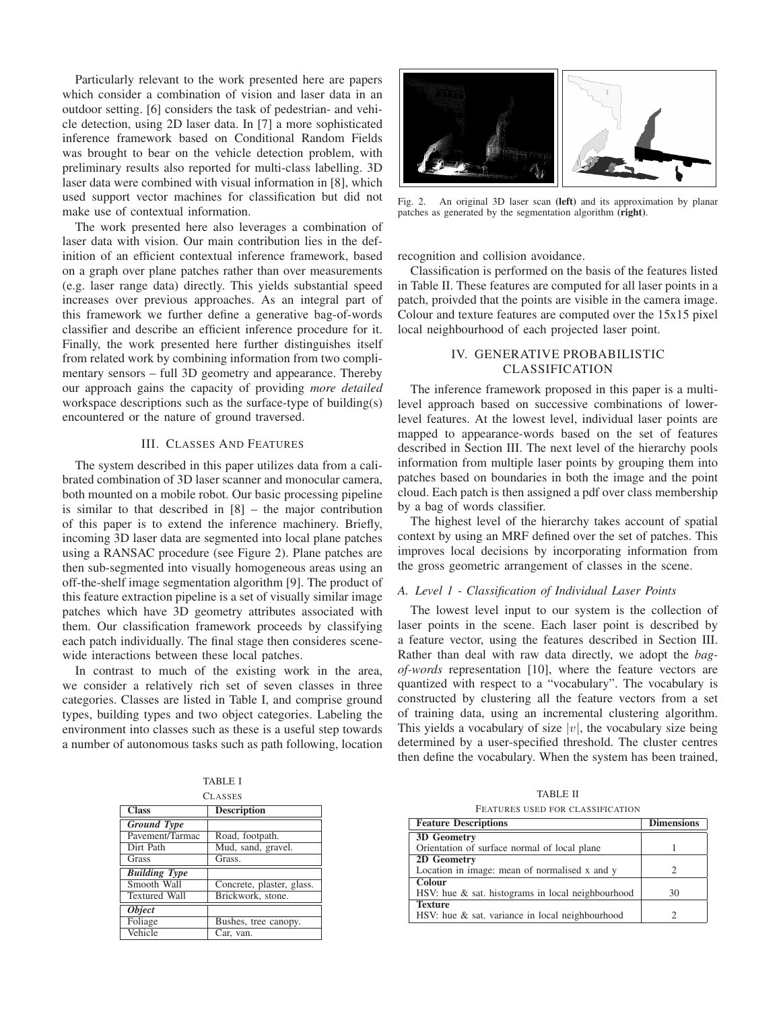Particularly relevant to the work presented here are papers which consider a combination of vision and laser data in an outdoor setting. [6] considers the task of pedestrian- and vehicle detection, using 2D laser data. In [7] a more sophisticated inference framework based on Conditional Random Fields was brought to bear on the vehicle detection problem, with preliminary results also reported for multi-class labelling. 3D laser data were combined with visual information in [8], which used support vector machines for classification but did not make use of contextual information.

The work presented here also leverages a combination of laser data with vision. Our main contribution lies in the definition of an efficient contextual inference framework, based on a graph over plane patches rather than over measurements (e.g. laser range data) directly. This yields substantial speed increases over previous approaches. As an integral part of this framework we further define a generative bag-of-words classifier and describe an efficient inference procedure for it. Finally, the work presented here further distinguishes itself from related work by combining information from two complimentary sensors – full 3D geometry and appearance. Thereby our approach gains the capacity of providing *more detailed* workspace descriptions such as the surface-type of building(s) encountered or the nature of ground traversed.

## III. CLASSES AND FEATURES

The system described in this paper utilizes data from a calibrated combination of 3D laser scanner and monocular camera, both mounted on a mobile robot. Our basic processing pipeline is similar to that described in [8] – the major contribution of this paper is to extend the inference machinery. Briefly, incoming 3D laser data are segmented into local plane patches using a RANSAC procedure (see Figure 2). Plane patches are then sub-segmented into visually homogeneous areas using an off-the-shelf image segmentation algorithm [9]. The product of this feature extraction pipeline is a set of visually similar image patches which have 3D geometry attributes associated with them. Our classification framework proceeds by classifying each patch individually. The final stage then consideres scenewide interactions between these local patches.

In contrast to much of the existing work in the area, we consider a relatively rich set of seven classes in three categories. Classes are listed in Table I, and comprise ground types, building types and two object categories. Labeling the environment into classes such as these is a useful step towards a number of autonomous tasks such as path following, location

| TABI E I |  |
|----------|--|
| CLASSES  |  |

| <b>Class</b>         | <b>Description</b>        |  |  |  |  |
|----------------------|---------------------------|--|--|--|--|
| <b>Ground Type</b>   |                           |  |  |  |  |
| Pavement/Tarmac      | Road, footpath.           |  |  |  |  |
| Dirt Path            | Mud, sand, gravel.        |  |  |  |  |
| <b>Grass</b>         | Grass.                    |  |  |  |  |
| <b>Building Type</b> |                           |  |  |  |  |
| Smooth Wall          | Concrete, plaster, glass. |  |  |  |  |
| <b>Textured Wall</b> | Brickwork, stone.         |  |  |  |  |
| <i><b>Object</b></i> |                           |  |  |  |  |
| Foliage              | Bushes, tree canopy.      |  |  |  |  |
| Vehicle              | Car, van.                 |  |  |  |  |



Fig. 2. An original 3D laser scan **(left)** and its approximation by planar patches as generated by the segmentation algorithm **(right)**.

recognition and collision avoidance.

Classification is performed on the basis of the features listed in Table II. These features are computed for all laser points in a patch, proivded that the points are visible in the camera image. Colour and texture features are computed over the 15x15 pixel local neighbourhood of each projected laser point.

# IV. GENERATIVE PROBABILISTIC CLASSIFICATION

The inference framework proposed in this paper is a multilevel approach based on successive combinations of lowerlevel features. At the lowest level, individual laser points are mapped to appearance-words based on the set of features described in Section III. The next level of the hierarchy pools information from multiple laser points by grouping them into patches based on boundaries in both the image and the point cloud. Each patch is then assigned a pdf over class membership by a bag of words classifier.

The highest level of the hierarchy takes account of spatial context by using an MRF defined over the set of patches. This improves local decisions by incorporating information from the gross geometric arrangement of classes in the scene.

# *A. Level 1 - Classification of Individual Laser Points*

The lowest level input to our system is the collection of laser points in the scene. Each laser point is described by a feature vector, using the features described in Section III. Rather than deal with raw data directly, we adopt the *bagof-words* representation [10], where the feature vectors are quantized with respect to a "vocabulary". The vocabulary is constructed by clustering all the feature vectors from a set of training data, using an incremental clustering algorithm. This yields a vocabulary of size  $|v|$ , the vocabulary size being determined by a user-specified threshold. The cluster centres then define the vocabulary. When the system has been trained,

TABLE II FEATURES USED FOR CLASSIFICATION

| <b>Feature Descriptions</b>                       | <b>Dimensions</b> |
|---------------------------------------------------|-------------------|
| 3D Geometry                                       |                   |
| Orientation of surface normal of local plane      |                   |
| 2D Geometry                                       |                   |
| Location in image: mean of normalised x and y     |                   |
| Colour                                            |                   |
| HSV: hue & sat. histograms in local neighbourhood | 30                |
| <b>Texture</b>                                    |                   |
| HSV: hue & sat. variance in local neighbourhood   |                   |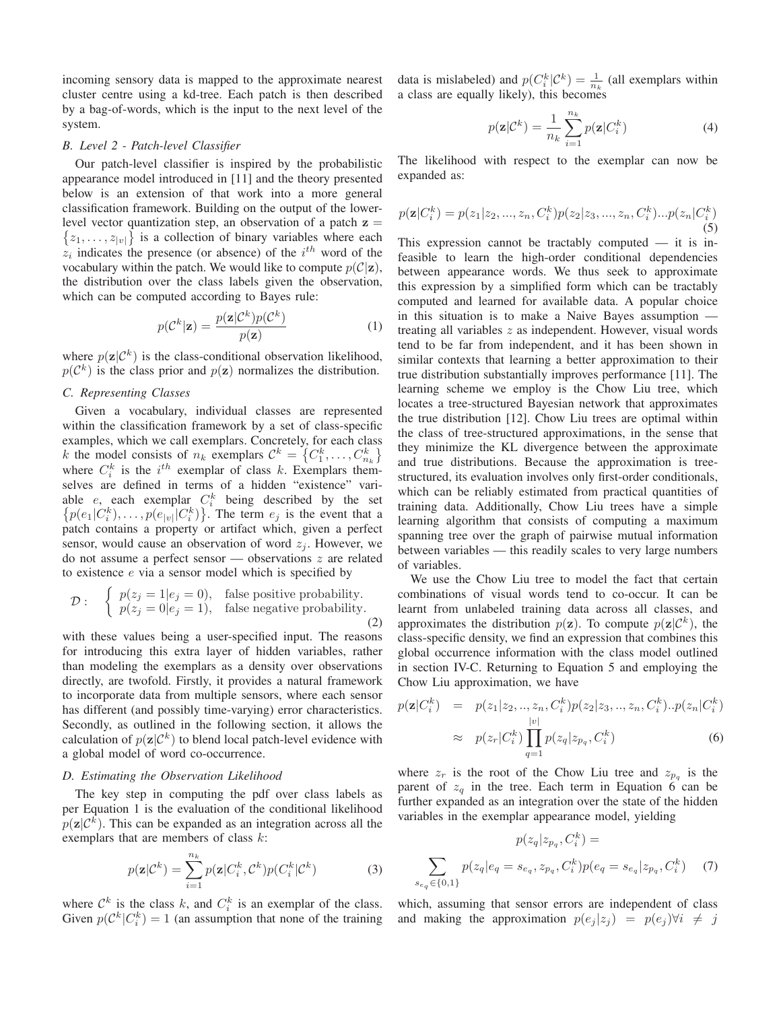incoming sensory data is mapped to the approximate nearest cluster centre using a kd-tree. Each patch is then described by a bag-of-words, which is the input to the next level of the system.

#### *B. Level 2 - Patch-level Classifier*

Our patch-level classifier is inspired by the probabilistic appearance model introduced in [11] and the theory presented below is an extension of that work into a more general classification framework. Building on the output of the lower-  $\{z_1, \ldots, z_{|v|}\}\$ is a collection of binary variables where each level vector quantization step, an observation of a patch  $z =$  $z_i$  indicates the presence (or absence) of the  $i^{th}$  word of the vocabulary within the patch. We would like to compute  $p(\mathcal{C}|\mathbf{z})$ , the distribution over the class labels given the observation, which can be computed according to Bayes rule:

$$
p(\mathcal{C}^k|\mathbf{z}) = \frac{p(\mathbf{z}|\mathcal{C}^k)p(\mathcal{C}^k)}{p(\mathbf{z})}
$$
(1)

where  $p(\mathbf{z}|\mathcal{C}^k)$  is the class-conditional observation likelihood,  $p(\mathcal{C}^k)$  is the class prior and  $p(\mathbf{z})$  normalizes the distribution.

## *C. Representing Classes*

Given a vocabulary, individual classes are represented within the classification framework by a set of class-specific examples, which we call exemplars. Concretely, for each class k the model consists of  $n_k$  exemplars  $\mathcal{C}^k = \{C_1^k, \ldots, C_{n_k}^k\}$ where  $C_i^k$  is the  $i^{th}$  exemplar of class k. Exemplars themselves are defined in terms of a hidden "existence" variable  $e$ , each exemplar  $C_i^k$  being described by the set  $\{p(e_1|C_i^k), \ldots, p(e_{|v|}|C_i^k)\}\.$  The term  $e_j$  is the event that a patch contains a property or artifact which, given a perfect sensor, would cause an observation of word  $z_i$ . However, we do not assume a perfect sensor — observations  $z$  are related to existence  $e$  via a sensor model which is specified by

$$
\mathcal{D}: \begin{cases} p(z_j = 1 | e_j = 0), & \text{false positive probability.} \\ p(z_j = 0 | e_j = 1), & \text{false negative probability.} \end{cases}
$$
\n(2)

with these values being a user-specified input. The reasons for introducing this extra layer of hidden variables, rather than modeling the exemplars as a density over observations directly, are twofold. Firstly, it provides a natural framework to incorporate data from multiple sensors, where each sensor has different (and possibly time-varying) error characteristics. Secondly, as outlined in the following section, it allows the calculation of  $p(\mathbf{z}|\mathcal{C}^k)$  to blend local patch-level evidence with a global model of word co-occurrence.

## *D. Estimating the Observation Likelihood*

The key step in computing the pdf over class labels as per Equation 1 is the evaluation of the conditional likelihood  $p(\mathbf{z}|\mathcal{C}^k)$ . This can be expanded as an integration across all the exemplars that are members of class k:

$$
p(\mathbf{z}|\mathcal{C}^k) = \sum_{i=1}^{n_k} p(\mathbf{z}|C_i^k, \mathcal{C}^k) p(C_i^k|\mathcal{C}^k)
$$
 (3)

where  $\mathcal{C}^k$  is the class k, and  $C_i^k$  is an exemplar of the class. Given  $p(\mathcal{C}^k | C_i^k) = 1$  (an assumption that none of the training

data is mislabeled) and  $p(C_i^k | C^k) = \frac{1}{n_k}$  (all exemplars within a class are equally likely), this becomes

$$
p(\mathbf{z}|\mathcal{C}^k) = \frac{1}{n_k} \sum_{i=1}^{n_k} p(\mathbf{z}|C_i^k)
$$
 (4)

The likelihood with respect to the exemplar can now be expanded as:

$$
p(\mathbf{z}|C_i^k) = p(z_1|z_2,...,z_n,C_i^k)p(z_2|z_3,...,z_n,C_i^k)...p(z_n|C_i^k)
$$
\n(5)

This expression cannot be tractably computed  $-$  it is infeasible to learn the high-order conditional dependencies between appearance words. We thus seek to approximate this expression by a simplified form which can be tractably computed and learned for available data. A popular choice in this situation is to make a Naive Bayes assumption treating all variables z as independent. However, visual words tend to be far from independent, and it has been shown in similar contexts that learning a better approximation to their true distribution substantially improves performance [11]. The learning scheme we employ is the Chow Liu tree, which locates a tree-structured Bayesian network that approximates the true distribution [12]. Chow Liu trees are optimal within the class of tree-structured approximations, in the sense that they minimize the KL divergence between the approximate and true distributions. Because the approximation is treestructured, its evaluation involves only first-order conditionals, which can be reliably estimated from practical quantities of training data. Additionally, Chow Liu trees have a simple learning algorithm that consists of computing a maximum spanning tree over the graph of pairwise mutual information between variables — this readily scales to very large numbers of variables.

We use the Chow Liu tree to model the fact that certain combinations of visual words tend to co-occur. It can be learnt from unlabeled training data across all classes, and approximates the distribution  $p(\mathbf{z})$ . To compute  $p(\mathbf{z}|\mathcal{C}^k)$ , the class-specific density, we find an expression that combines this global occurrence information with the class model outlined in section IV-C. Returning to Equation 5 and employing the Chow Liu approximation, we have

$$
p(\mathbf{z}|C_i^k) = p(z_1|z_2, ..., z_n, C_i^k)p(z_2|z_3, ..., z_n, C_i^k) \cdot p(z_n|C_i^k)
$$
  
\n
$$
\approx p(z_r|C_i^k) \prod_{q=1}^{|v|} p(z_q|z_{p_q}, C_i^k)
$$
 (6)

where  $z_r$  is the root of the Chow Liu tree and  $z_{p_q}$  is the parent of  $z_q$  in the tree. Each term in Equation 6 can be further expanded as an integration over the state of the hidden variables in the exemplar appearance model, yielding

$$
p(z_q|z_{p_q}, C_i^k) =
$$
  

$$
\sum_{s_{e_q} \in \{0, 1\}} p(z_q|e_q = s_{e_q}, z_{p_q}, C_i^k) p(e_q = s_{e_q}|z_{p_q}, C_i^k) \quad (7)
$$

 $\overline{a}$ ,  $\overline{b}$ 

which, assuming that sensor errors are independent of class and making the approximation  $p(e_i | z_i) = p(e_i) \forall i \neq j$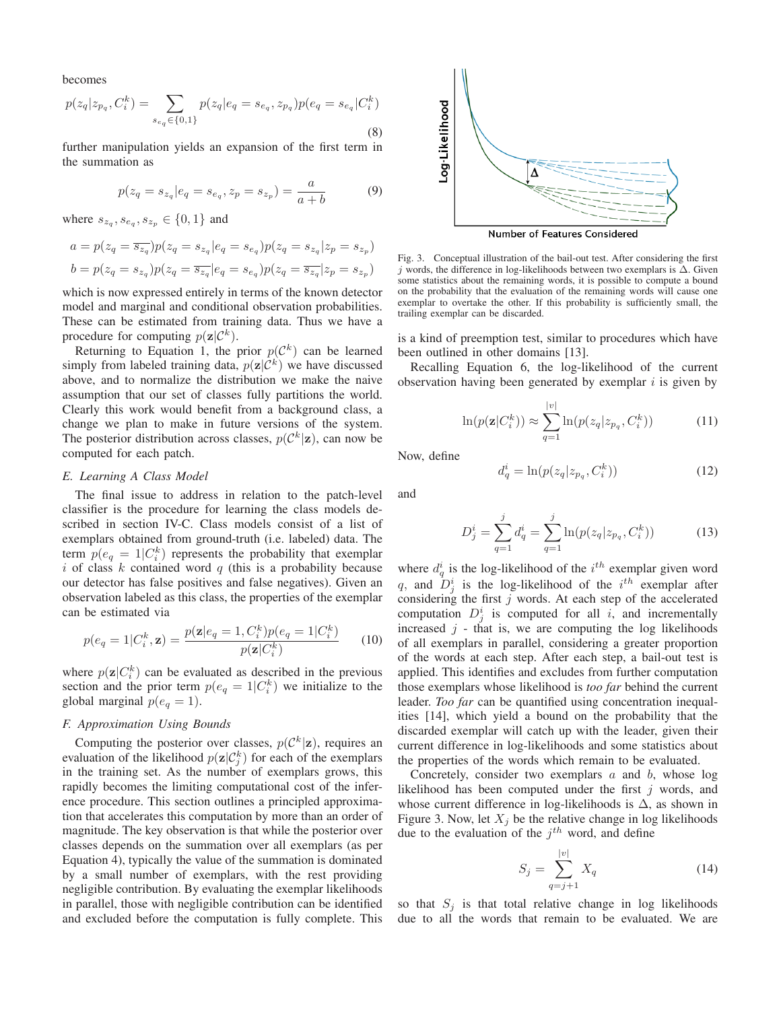becomes

$$
p(z_q|z_{p_q}, C_i^k) = \sum_{s_{e_q} \in \{0, 1\}} p(z_q|e_q = s_{e_q}, z_{p_q}) p(e_q = s_{e_q} | C_i^k)
$$
\n(8)

further manipulation yields an expansion of the first term in the summation as

$$
p(z_q = s_{z_q} | e_q = s_{e_q}, z_p = s_{z_p}) = \frac{a}{a+b}
$$
 (9)

where  $s_{z_q}, s_{e_q}, s_{z_p} \in \{0, 1\}$  and

$$
a = p(z_q = \overline{s_{z_q}})p(z_q = s_{z_q}|e_q = s_{e_q})p(z_q = s_{z_q}|z_p = s_{z_p})
$$
  

$$
b = p(z_q = s_{z_q})p(z_q = \overline{s_{z_q}}|e_q = s_{e_q})p(z_q = \overline{s_{z_q}}|z_p = s_{z_p})
$$

which is now expressed entirely in terms of the known detector model and marginal and conditional observation probabilities. These can be estimated from training data. Thus we have a procedure for computing  $p(\mathbf{z}|\mathcal{C}^k)$ .

Returning to Equation 1, the prior  $p(\mathcal{C}^k)$  can be learned simply from labeled training data,  $p(\mathbf{z}|\mathcal{C}^k)$  we have discussed above, and to normalize the distribution we make the naive assumption that our set of classes fully partitions the world. Clearly this work would benefit from a background class, a change we plan to make in future versions of the system. The posterior distribution across classes,  $p(\mathcal{C}^k|\mathbf{z})$ , can now be computed for each patch.

#### *E. Learning A Class Model*

The final issue to address in relation to the patch-level classifier is the procedure for learning the class models described in section IV-C. Class models consist of a list of exemplars obtained from ground-truth (i.e. labeled) data. The term  $p(e_q = 1|C_i^k)$  represents the probability that exemplar i of class  $k$  contained word  $q$  (this is a probability because our detector has false positives and false negatives). Given an observation labeled as this class, the properties of the exemplar can be estimated via

$$
p(e_q = 1 | C_i^k, \mathbf{z}) = \frac{p(\mathbf{z}|e_q = 1, C_i^k)p(e_q = 1 | C_i^k)}{p(\mathbf{z}|C_i^k)}
$$
(10)

where  $p(\mathbf{z}|C_i^k)$  can be evaluated as described in the previous section and the prior term  $p(e_q = 1|C_i^k)$  we initialize to the global marginal  $p(e_q = 1)$ .

## *F. Approximation Using Bounds*

Computing the posterior over classes,  $p(\mathcal{C}^k|\mathbf{z})$ , requires an evaluation of the likelihood  $p(\mathbf{z}|\mathcal{C}_j^k)$  for each of the exemplars in the training set. As the number of exemplars grows, this rapidly becomes the limiting computational cost of the inference procedure. This section outlines a principled approximation that accelerates this computation by more than an order of magnitude. The key observation is that while the posterior over classes depends on the summation over all exemplars (as per Equation 4), typically the value of the summation is dominated by a small number of exemplars, with the rest providing negligible contribution. By evaluating the exemplar likelihoods in parallel, those with negligible contribution can be identified and excluded before the computation is fully complete. This



Fig. 3. Conceptual illustration of the bail-out test. After considering the first j words, the difference in log-likelihoods between two exemplars is  $\Delta$ . Given some statistics about the remaining words, it is possible to compute a bound on the probability that the evaluation of the remaining words will cause one exemplar to overtake the other. If this probability is sufficiently small, the trailing exemplar can be discarded.

is a kind of preemption test, similar to procedures which have been outlined in other domains [13].

Recalling Equation 6, the log-likelihood of the current observation having been generated by exemplar  $i$  is given by

$$
\ln(p(\mathbf{z}|C_i^k)) \approx \sum_{q=1}^{|v|} \ln(p(z_q|z_{p_q}, C_i^k)) \tag{11}
$$

Now, define

$$
d_q^i = \ln(p(z_q|z_{p_q}, C_i^k))\tag{12}
$$

and

$$
D_j^i = \sum_{q=1}^j d_q^i = \sum_{q=1}^j \ln(p(z_q | z_{p_q}, C_i^k))
$$
 (13)

where  $d_q^i$  is the log-likelihood of the  $i^{th}$  exemplar given word q, and  $D_j^i$  is the log-likelihood of the  $i^{th}$  exemplar after considering the first  $j$  words. At each step of the accelerated computation  $D_j^i$  is computed for all i, and incrementally increased  $j$  - that is, we are computing the log likelihoods of all exemplars in parallel, considering a greater proportion of the words at each step. After each step, a bail-out test is applied. This identifies and excludes from further computation those exemplars whose likelihood is *too far* behind the current leader. *Too far* can be quantified using concentration inequalities [14], which yield a bound on the probability that the discarded exemplar will catch up with the leader, given their current difference in log-likelihoods and some statistics about the properties of the words which remain to be evaluated.

Concretely, consider two exemplars  $a$  and  $b$ , whose log likelihood has been computed under the first  $j$  words, and whose current difference in log-likelihoods is  $\Delta$ , as shown in Figure 3. Now, let  $X_j$  be the relative change in log likelihoods due to the evaluation of the  $j<sup>th</sup>$  word, and define

$$
S_j = \sum_{q=j+1}^{|v|} X_q
$$
 (14)

so that  $S_i$  is that total relative change in log likelihoods due to all the words that remain to be evaluated. We are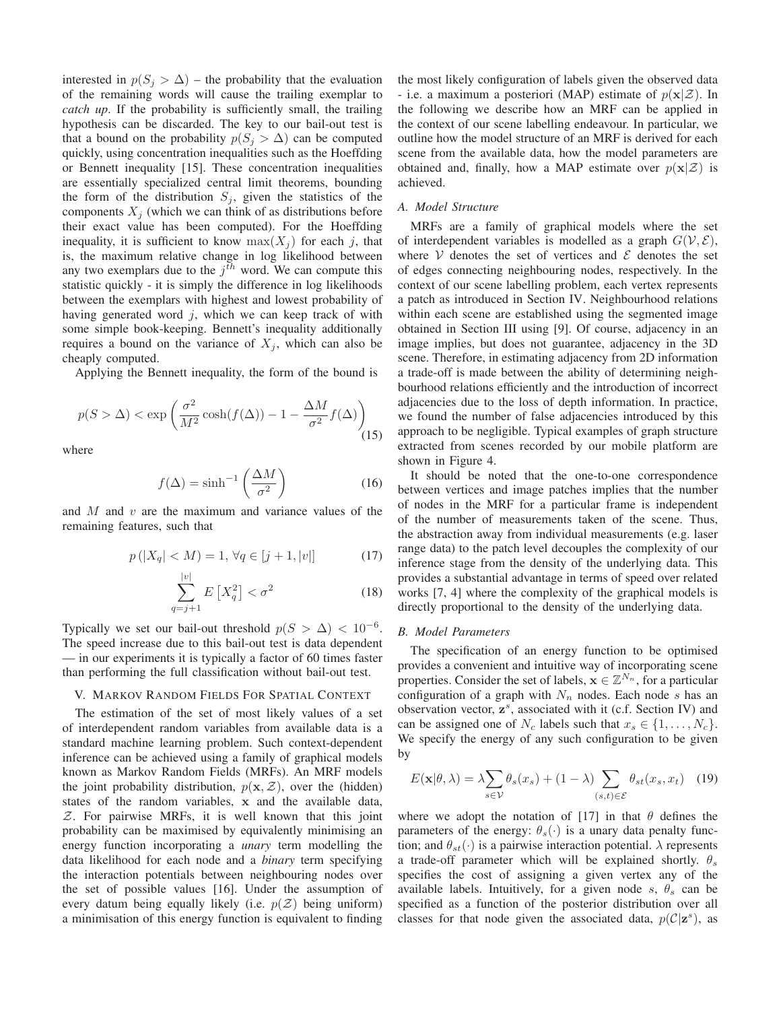interested in  $p(S_i > \Delta)$  – the probability that the evaluation of the remaining words will cause the trailing exemplar to *catch up*. If the probability is sufficiently small, the trailing hypothesis can be discarded. The key to our bail-out test is that a bound on the probability  $p(S_j > \Delta)$  can be computed quickly, using concentration inequalities such as the Hoeffding or Bennett inequality [15]. These concentration inequalities are essentially specialized central limit theorems, bounding the form of the distribution  $S_i$ , given the statistics of the components  $X_j$  (which we can think of as distributions before their exact value has been computed). For the Hoeffding inequality, it is sufficient to know  $\max(X_i)$  for each j, that is, the maximum relative change in log likelihood between any two exemplars due to the  $j<sup>th</sup>$  word. We can compute this statistic quickly - it is simply the difference in log likelihoods between the exemplars with highest and lowest probability of having generated word  $j$ , which we can keep track of with some simple book-keeping. Bennett's inequality additionally requires a bound on the variance of  $X_i$ , which can also be cheaply computed.

Applying the Bennett inequality, the form of the bound is

$$
p(S > \Delta) < \exp\left(\frac{\sigma^2}{M^2}\cosh(f(\Delta)) - 1 - \frac{\Delta M}{\sigma^2}f(\Delta)\right) \tag{15}
$$

where

$$
f(\Delta) = \sinh^{-1}\left(\frac{\Delta M}{\sigma^2}\right) \tag{16}
$$

and  $M$  and  $v$  are the maximum and variance values of the remaining features, such that

$$
p(|X_q| < M) = 1, \,\forall q \in [j+1, |v|] \tag{17}
$$

$$
\sum_{q=j+1}^{|v|} E\left[X_q^2\right] < \sigma^2 \tag{18}
$$

Typically we set our bail-out threshold  $p(S > \Delta) < 10^{-6}$ . The speed increase due to this bail-out test is data dependent — in our experiments it is typically a factor of 60 times faster than performing the full classification without bail-out test.

## V. MARKOV RANDOM FIELDS FOR SPATIAL CONTEXT

The estimation of the set of most likely values of a set of interdependent random variables from available data is a standard machine learning problem. Such context-dependent inference can be achieved using a family of graphical models known as Markov Random Fields (MRFs). An MRF models the joint probability distribution,  $p(x, Z)$ , over the (hidden) states of the random variables, x and the available data,  $Z$ . For pairwise MRFs, it is well known that this joint probability can be maximised by equivalently minimising an energy function incorporating a *unary* term modelling the data likelihood for each node and a *binary* term specifying the interaction potentials between neighbouring nodes over the set of possible values [16]. Under the assumption of every datum being equally likely (i.e.  $p(\mathcal{Z})$  being uniform) a minimisation of this energy function is equivalent to finding the most likely configuration of labels given the observed data - i.e. a maximum a posteriori (MAP) estimate of  $p(x|Z)$ . In the following we describe how an MRF can be applied in the context of our scene labelling endeavour. In particular, we outline how the model structure of an MRF is derived for each scene from the available data, how the model parameters are obtained and, finally, how a MAP estimate over  $p(\mathbf{x}|\mathcal{Z})$  is achieved.

#### *A. Model Structure*

MRFs are a family of graphical models where the set of interdependent variables is modelled as a graph  $G(V, \mathcal{E})$ , where V denotes the set of vertices and  $\mathcal E$  denotes the set of edges connecting neighbouring nodes, respectively. In the context of our scene labelling problem, each vertex represents a patch as introduced in Section IV. Neighbourhood relations within each scene are established using the segmented image obtained in Section III using [9]. Of course, adjacency in an image implies, but does not guarantee, adjacency in the 3D scene. Therefore, in estimating adjacency from 2D information a trade-off is made between the ability of determining neighbourhood relations efficiently and the introduction of incorrect adjacencies due to the loss of depth information. In practice, we found the number of false adjacencies introduced by this approach to be negligible. Typical examples of graph structure extracted from scenes recorded by our mobile platform are shown in Figure 4.

It should be noted that the one-to-one correspondence between vertices and image patches implies that the number of nodes in the MRF for a particular frame is independent of the number of measurements taken of the scene. Thus, the abstraction away from individual measurements (e.g. laser range data) to the patch level decouples the complexity of our inference stage from the density of the underlying data. This provides a substantial advantage in terms of speed over related works [7, 4] where the complexity of the graphical models is directly proportional to the density of the underlying data.

#### *B. Model Parameters*

The specification of an energy function to be optimised provides a convenient and intuitive way of incorporating scene properties. Consider the set of labels,  $\mathbf{x} \in \mathbb{Z}^{N_n}$ , for a particular configuration of a graph with  $N_n$  nodes. Each node s has an observation vector,  $z^s$ , associated with it (c.f. Section IV) and can be assigned one of  $N_c$  labels such that  $x_s \in \{1, \ldots, N_c\}.$ We specify the energy of any such configuration to be given by

$$
E(\mathbf{x}|\theta,\lambda) = \lambda \sum_{s \in \mathcal{V}} \theta_s(x_s) + (1-\lambda) \sum_{(s,t) \in \mathcal{E}} \theta_{st}(x_s, x_t) \quad (19)
$$

where we adopt the notation of [17] in that  $\theta$  defines the parameters of the energy:  $\theta_s(\cdot)$  is a unary data penalty function; and  $\theta_{st}(\cdot)$  is a pairwise interaction potential.  $\lambda$  represents a trade-off parameter which will be explained shortly.  $\theta_s$ specifies the cost of assigning a given vertex any of the available labels. Intuitively, for a given node s,  $\theta_s$  can be specified as a function of the posterior distribution over all classes for that node given the associated data,  $p(\mathcal{C}|\mathbf{z}^s)$ , as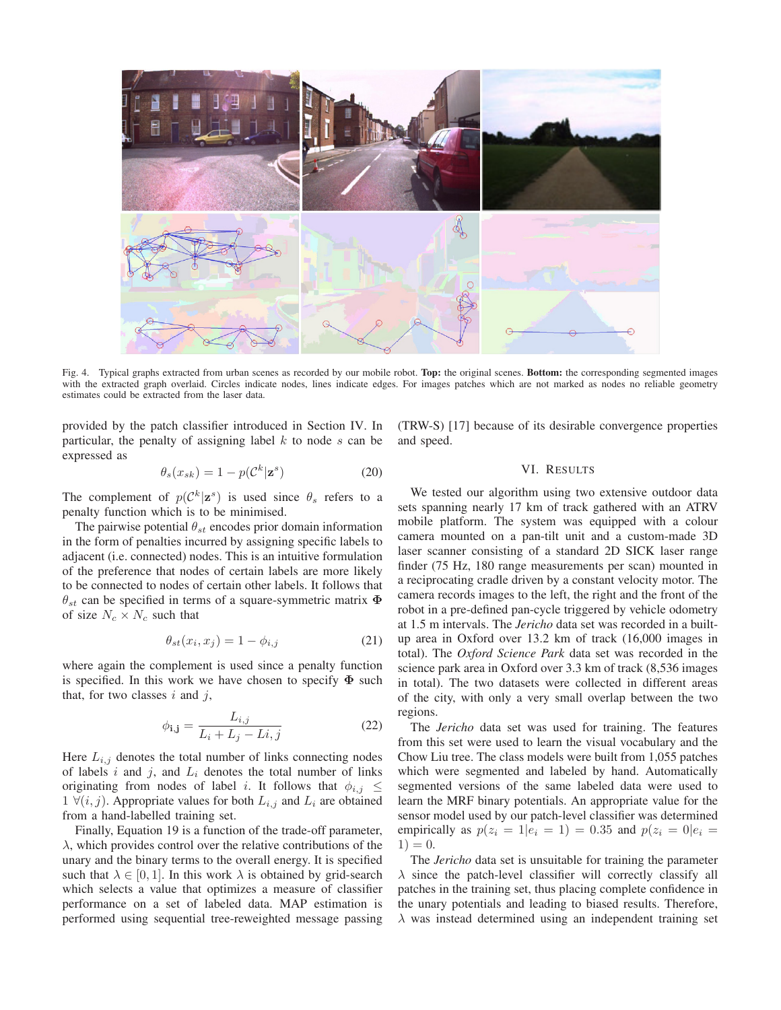

Fig. 4. Typical graphs extracted from urban scenes as recorded by our mobile robot. **Top:** the original scenes. **Bottom:** the corresponding segmented images with the extracted graph overlaid. Circles indicate nodes, lines indicate edges. For images patches which are not marked as nodes no reliable geometry estimates could be extracted from the laser data.

provided by the patch classifier introduced in Section IV. In particular, the penalty of assigning label  $k$  to node  $s$  can be expressed as

$$
\theta_s(x_{sk}) = 1 - p(\mathcal{C}^k | \mathbf{z}^s)
$$
\n(20)

The complement of  $p(\mathcal{C}^k | \mathbf{z}^s)$  is used since  $\theta_s$  refers to a penalty function which is to be minimised.

The pairwise potential  $\theta_{st}$  encodes prior domain information in the form of penalties incurred by assigning specific labels to adjacent (i.e. connected) nodes. This is an intuitive formulation of the preference that nodes of certain labels are more likely to be connected to nodes of certain other labels. It follows that  $\theta_{st}$  can be specified in terms of a square-symmetric matrix  $\Phi$ of size  $N_c \times N_c$  such that

$$
\theta_{st}(x_i, x_j) = 1 - \phi_{i,j} \tag{21}
$$

where again the complement is used since a penalty function is specified. In this work we have chosen to specify  $\Phi$  such that, for two classes  $i$  and  $j$ ,

$$
\phi_{i,j} = \frac{L_{i,j}}{L_i + L_j - Li, j}
$$
 (22)

Here  $L_{i,j}$  denotes the total number of links connecting nodes of labels  $i$  and  $j$ , and  $L_i$  denotes the total number of links originating from nodes of label i. It follows that  $\phi_{i,j} \leq$ 1  $\forall (i, j)$ . Appropriate values for both  $L_{i,j}$  and  $L_i$  are obtained from a hand-labelled training set.

Finally, Equation 19 is a function of the trade-off parameter,  $\lambda$ , which provides control over the relative contributions of the unary and the binary terms to the overall energy. It is specified such that  $\lambda \in [0, 1]$ . In this work  $\lambda$  is obtained by grid-search which selects a value that optimizes a measure of classifier performance on a set of labeled data. MAP estimation is performed using sequential tree-reweighted message passing (TRW-S) [17] because of its desirable convergence properties and speed.

# VI. RESULTS

We tested our algorithm using two extensive outdoor data sets spanning nearly 17 km of track gathered with an ATRV mobile platform. The system was equipped with a colour camera mounted on a pan-tilt unit and a custom-made 3D laser scanner consisting of a standard 2D SICK laser range finder (75 Hz, 180 range measurements per scan) mounted in a reciprocating cradle driven by a constant velocity motor. The camera records images to the left, the right and the front of the robot in a pre-defined pan-cycle triggered by vehicle odometry at 1.5 m intervals. The *Jericho* data set was recorded in a builtup area in Oxford over 13.2 km of track (16,000 images in total). The *Oxford Science Park* data set was recorded in the science park area in Oxford over 3.3 km of track (8,536 images in total). The two datasets were collected in different areas of the city, with only a very small overlap between the two regions.

The *Jericho* data set was used for training. The features from this set were used to learn the visual vocabulary and the Chow Liu tree. The class models were built from 1,055 patches which were segmented and labeled by hand. Automatically segmented versions of the same labeled data were used to learn the MRF binary potentials. An appropriate value for the sensor model used by our patch-level classifier was determined empirically as  $p(z_i = 1|e_i = 1) = 0.35$  and  $p(z_i = 0|e_i = 1)$  $1) = 0.$ 

The *Jericho* data set is unsuitable for training the parameter  $\lambda$  since the patch-level classifier will correctly classify all patches in the training set, thus placing complete confidence in the unary potentials and leading to biased results. Therefore,  $\lambda$  was instead determined using an independent training set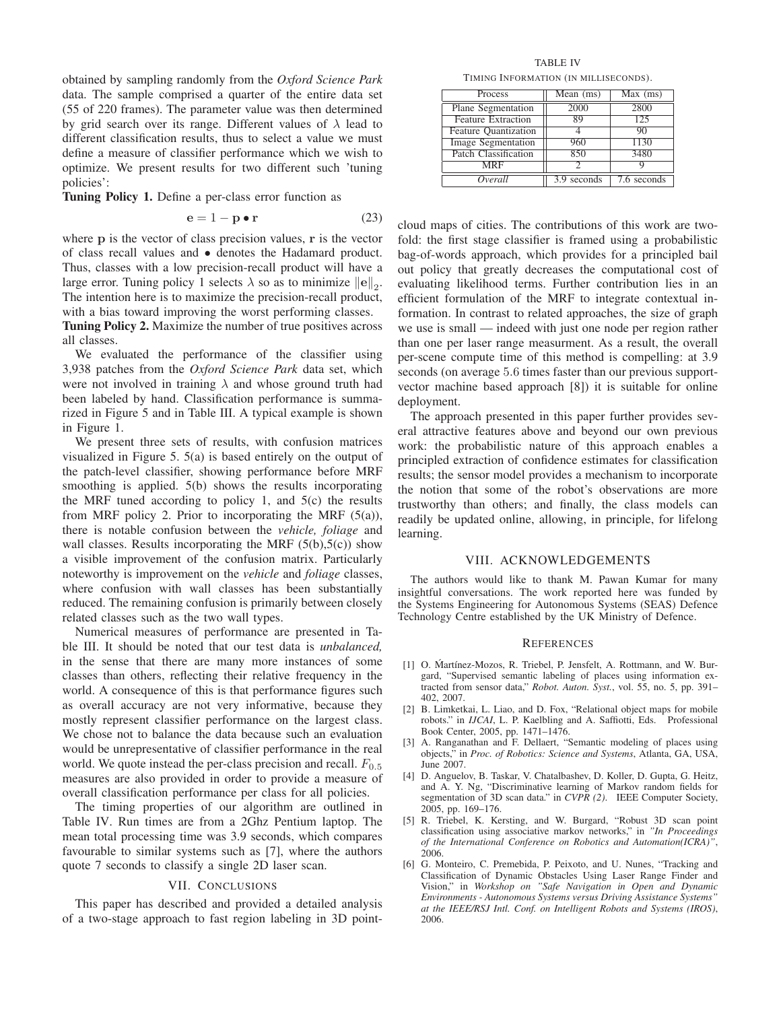obtained by sampling randomly from the *Oxford Science Park* data. The sample comprised a quarter of the entire data set (55 of 220 frames). The parameter value was then determined by grid search over its range. Different values of  $\lambda$  lead to different classification results, thus to select a value we must define a measure of classifier performance which we wish to optimize. We present results for two different such 'tuning policies':

**Tuning Policy 1.** Define a per-class error function as

$$
e = 1 - p \bullet r \tag{23}
$$

where **p** is the vector of class precision values, **r** is the vector of class recall values and • denotes the Hadamard product. Thus, classes with a low precision-recall product will have a large error. Tuning policy 1 selects  $\lambda$  so as to minimize  $\|\mathbf{e}\|_2$ . The intention here is to maximize the precision-recall product, with a bias toward improving the worst performing classes.

**Tuning Policy 2.** Maximize the number of true positives across all classes.

We evaluated the performance of the classifier using 3,938 patches from the *Oxford Science Park* data set, which were not involved in training  $\lambda$  and whose ground truth had been labeled by hand. Classification performance is summarized in Figure 5 and in Table III. A typical example is shown in Figure 1.

We present three sets of results, with confusion matrices visualized in Figure 5. 5(a) is based entirely on the output of the patch-level classifier, showing performance before MRF smoothing is applied. 5(b) shows the results incorporating the MRF tuned according to policy 1, and  $5(c)$  the results from MRF policy 2. Prior to incorporating the MRF  $(5(a))$ , there is notable confusion between the *vehicle, foliage* and wall classes. Results incorporating the MRF  $(5(b),5(c))$  show a visible improvement of the confusion matrix. Particularly noteworthy is improvement on the *vehicle* and *foliage* classes, where confusion with wall classes has been substantially reduced. The remaining confusion is primarily between closely related classes such as the two wall types.

Numerical measures of performance are presented in Table III. It should be noted that our test data is *unbalanced,* in the sense that there are many more instances of some classes than others, reflecting their relative frequency in the world. A consequence of this is that performance figures such as overall accuracy are not very informative, because they mostly represent classifier performance on the largest class. We chose not to balance the data because such an evaluation would be unrepresentative of classifier performance in the real world. We quote instead the per-class precision and recall.  $F_{0.5}$ measures are also provided in order to provide a measure of overall classification performance per class for all policies.

The timing properties of our algorithm are outlined in Table IV. Run times are from a 2Ghz Pentium laptop. The mean total processing time was 3.9 seconds, which compares favourable to similar systems such as [7], where the authors quote 7 seconds to classify a single 2D laser scan.

# VII. CONCLUSIONS

This paper has described and provided a detailed analysis of a two-stage approach to fast region labeling in 3D point-

TABLE IV TIMING INFORMATION (IN MILLISECONDS).

| Process                     | Mean $(ms)$ | $Max$ (ms)  |
|-----------------------------|-------------|-------------|
| Plane Segmentation          | 2000        | 2800        |
| <b>Feature Extraction</b>   | 89          | 125         |
| <b>Feature Quantization</b> |             | 90          |
| <b>Image Segmentation</b>   | 960         | 1130        |
| <b>Patch Classification</b> | 850         | 3480        |
| <b>MRF</b>                  |             |             |
| Overall                     | 3.9 seconds | 7.6 seconds |

cloud maps of cities. The contributions of this work are twofold: the first stage classifier is framed using a probabilistic bag-of-words approach, which provides for a principled bail out policy that greatly decreases the computational cost of evaluating likelihood terms. Further contribution lies in an efficient formulation of the MRF to integrate contextual information. In contrast to related approaches, the size of graph we use is small — indeed with just one node per region rather than one per laser range measurment. As a result, the overall per-scene compute time of this method is compelling: at 3.9 seconds (on average 5.6 times faster than our previous supportvector machine based approach [8]) it is suitable for online deployment.

The approach presented in this paper further provides several attractive features above and beyond our own previous work: the probabilistic nature of this approach enables a principled extraction of confidence estimates for classification results; the sensor model provides a mechanism to incorporate the notion that some of the robot's observations are more trustworthy than others; and finally, the class models can readily be updated online, allowing, in principle, for lifelong learning.

## VIII. ACKNOWLEDGEMENTS

The authors would like to thank M. Pawan Kumar for many insightful conversations. The work reported here was funded by the Systems Engineering for Autonomous Systems (SEAS) Defence Technology Centre established by the UK Ministry of Defence.

#### **REFERENCES**

- [1] O. Martínez-Mozos, R. Triebel, P. Jensfelt, A. Rottmann, and W. Burgard, "Supervised semantic labeling of places using information extracted from sensor data," *Robot. Auton. Syst.*, vol. 55, no. 5, pp. 391– 402, 2007.
- [2] B. Limketkai, L. Liao, and D. Fox, "Relational object maps for mobile robots." in *IJCAI*, L. P. Kaelbling and A. Saffiotti, Eds. Professional Book Center, 2005, pp. 1471–1476.
- [3] A. Ranganathan and F. Dellaert, "Semantic modeling of places using objects," in *Proc. of Robotics: Science and Systems*, Atlanta, GA, USA, June 2007.
- [4] D. Anguelov, B. Taskar, V. Chatalbashev, D. Koller, D. Gupta, G. Heitz, and A. Y. Ng, "Discriminative learning of Markov random fields for segmentation of 3D scan data." in *CVPR (2)*. IEEE Computer Society, 2005, pp. 169–176.
- [5] R. Triebel, K. Kersting, and W. Burgard, "Robust 3D scan point classification using associative markov networks," in *"In Proceedings of the International Conference on Robotics and Automation(ICRA)"*, 2006.
- [6] G. Monteiro, C. Premebida, P. Peixoto, and U. Nunes, "Tracking and Classification of Dynamic Obstacles Using Laser Range Finder and Vision," in *Workshop on "Safe Navigation in Open and Dynamic Environments - Autonomous Systems versus Driving Assistance Systems" at the IEEE/RSJ Intl. Conf. on Intelligent Robots and Systems (IROS)*, 2006.